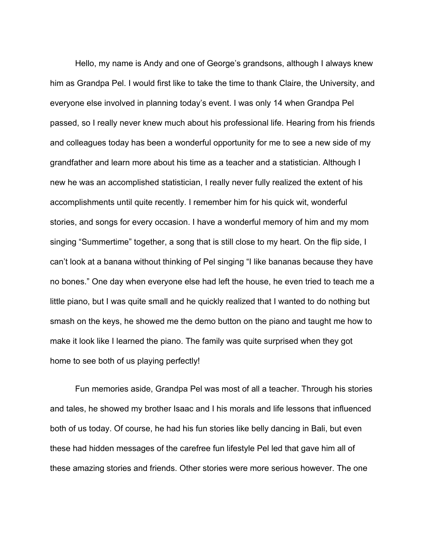Hello, my name is Andy and one of George's grandsons, although I always knew him as Grandpa Pel. I would first like to take the time to thank Claire, the University, and everyone else involved in planning today's event. I was only 14 when Grandpa Pel passed, so I really never knew much about his professional life. Hearing from his friends and colleagues today has been a wonderful opportunity for me to see a new side of my grandfather and learn more about his time as a teacher and a statistician. Although I new he was an accomplished statistician, I really never fully realized the extent of his accomplishments until quite recently. I remember him for his quick wit, wonderful stories, and songs for every occasion. I have a wonderful memory of him and my mom singing "Summertime" together, a song that is still close to my heart. On the flip side, I can't look at a banana without thinking of Pel singing "I like bananas because they have no bones." One day when everyone else had left the house, he even tried to teach me a little piano, but I was quite small and he quickly realized that I wanted to do nothing but smash on the keys, he showed me the demo button on the piano and taught me how to make it look like I learned the piano. The family was quite surprised when they got home to see both of us playing perfectly!

Fun memories aside, Grandpa Pel was most of all a teacher. Through his stories and tales, he showed my brother Isaac and I his morals and life lessons that influenced both of us today. Of course, he had his fun stories like belly dancing in Bali, but even these had hidden messages of the carefree fun lifestyle Pel led that gave him all of these amazing stories and friends. Other stories were more serious however. The one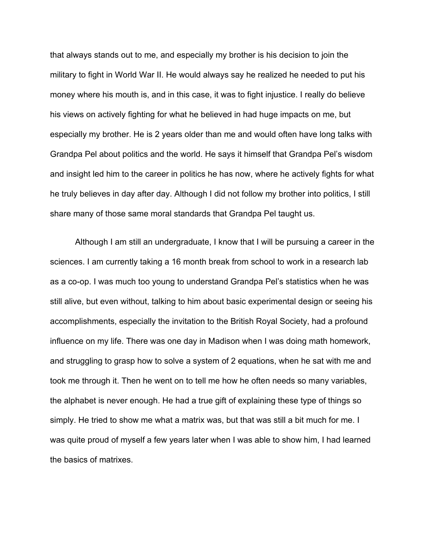that always stands out to me, and especially my brother is his decision to join the military to fight in World War II. He would always say he realized he needed to put his money where his mouth is, and in this case, it was to fight injustice. I really do believe his views on actively fighting for what he believed in had huge impacts on me, but especially my brother. He is 2 years older than me and would often have long talks with Grandpa Pel about politics and the world. He says it himself that Grandpa Pel's wisdom and insight led him to the career in politics he has now, where he actively fights for what he truly believes in day after day. Although I did not follow my brother into politics, I still share many of those same moral standards that Grandpa Pel taught us.

Although I am still an undergraduate, I know that I will be pursuing a career in the sciences. I am currently taking a 16 month break from school to work in a research lab as a co-op. I was much too young to understand Grandpa Pel's statistics when he was still alive, but even without, talking to him about basic experimental design or seeing his accomplishments, especially the invitation to the British Royal Society, had a profound influence on my life. There was one day in Madison when I was doing math homework, and struggling to grasp how to solve a system of 2 equations, when he sat with me and took me through it. Then he went on to tell me how he often needs so many variables, the alphabet is never enough. He had a true gift of explaining these type of things so simply. He tried to show me what a matrix was, but that was still a bit much for me. I was quite proud of myself a few years later when I was able to show him, I had learned the basics of matrixes.